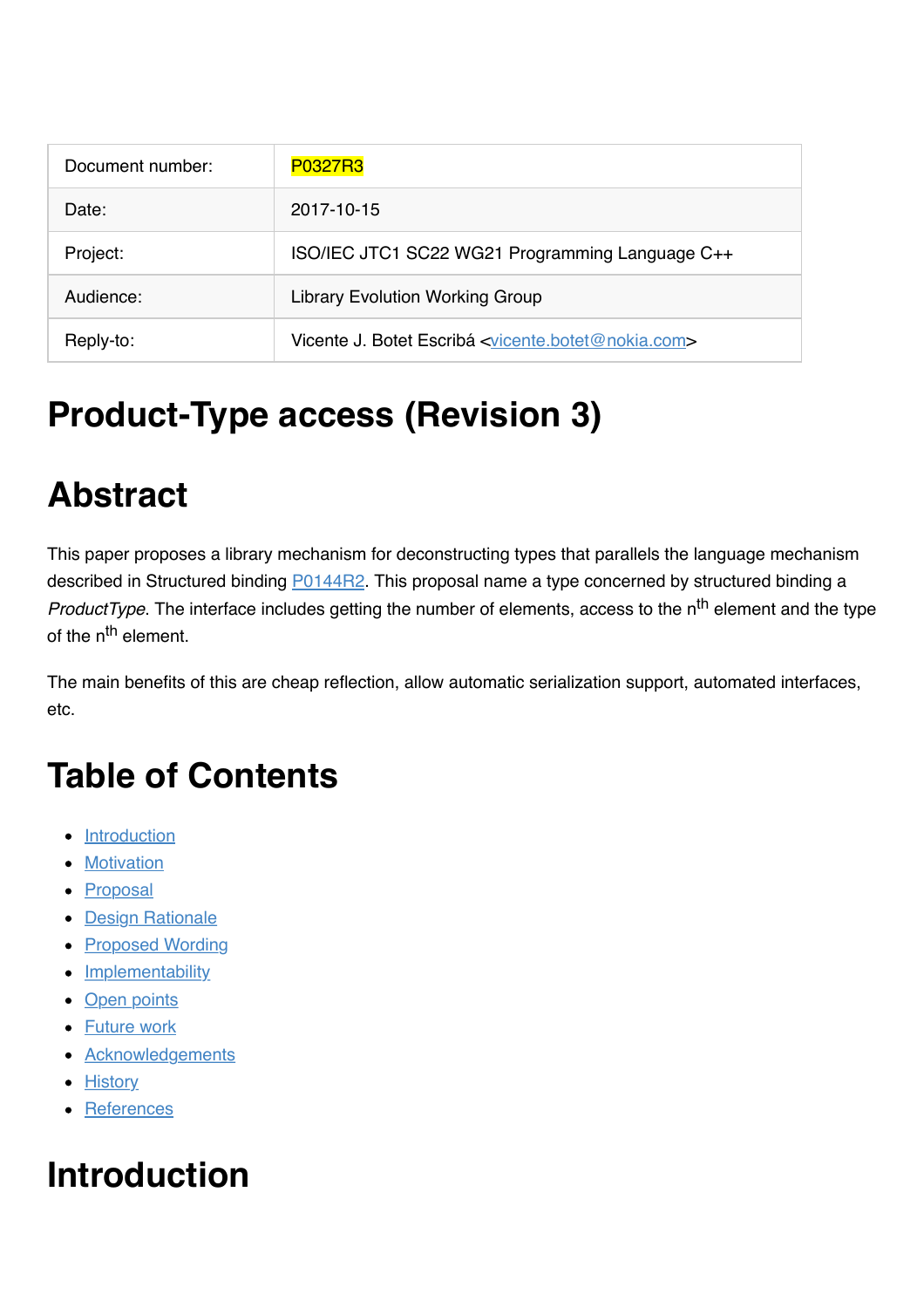| Document number: | <b>P0327R3</b>                                                               |
|------------------|------------------------------------------------------------------------------|
| Date:            | 2017-10-15                                                                   |
| Project:         | ISO/IEC JTC1 SC22 WG21 Programming Language C++                              |
| Audience:        | <b>Library Evolution Working Group</b>                                       |
| Reply-to:        | Vicente J. Botet Escribá <vicente.botet@nokia.com></vicente.botet@nokia.com> |

# **Product-Type access (Revision 3)**

# **Abstract**

This paper proposes a library mechanism for deconstructing types that parallels the language mechanism described in Structured binding **P0144R2**. This proposal name a type concerned by structured binding a *ProductType*. The interface includes getting the number of elements, access to the n<sup>th</sup> element and the type of the n<sup>th</sup> element.

The main benefits of this are cheap reflection, allow automatic serialization support, automated interfaces, etc.

# **Table of Contents**

- [Introduction](file:///Users/viboes/github/std_make/doc/proposal/product_type/p0327r3.md#introduction)
- **[Motivation](file:///Users/viboes/github/std_make/doc/proposal/product_type/p0327r3.md#motivation)**
- [Proposal](file:///Users/viboes/github/std_make/doc/proposal/product_type/p0327r3.md#proposal)
- **[Design Rationale](file:///Users/viboes/github/std_make/doc/proposal/product_type/p0327r3.md#design-rationale)**
- [Proposed Wording](file:///Users/viboes/github/std_make/doc/proposal/product_type/p0327r3.md#proposed-wording)
- [Implementability](file:///Users/viboes/github/std_make/doc/proposal/product_type/p0327r3.md#implementability)
- [Open points](file:///Users/viboes/github/std_make/doc/proposal/product_type/p0327r3.md#open-points)
- [Future work](file:///Users/viboes/github/std_make/doc/proposal/product_type/p0327r3.md#future-work)
- [Acknowledgements](file:///Users/viboes/github/std_make/doc/proposal/product_type/p0327r3.md#acknowledgements)
- [History](file:///Users/viboes/github/std_make/doc/proposal/product_type/p0327r3.md#history)
- [References](file:///Users/viboes/github/std_make/doc/proposal/product_type/p0327r3.md#references)

# **Introduction**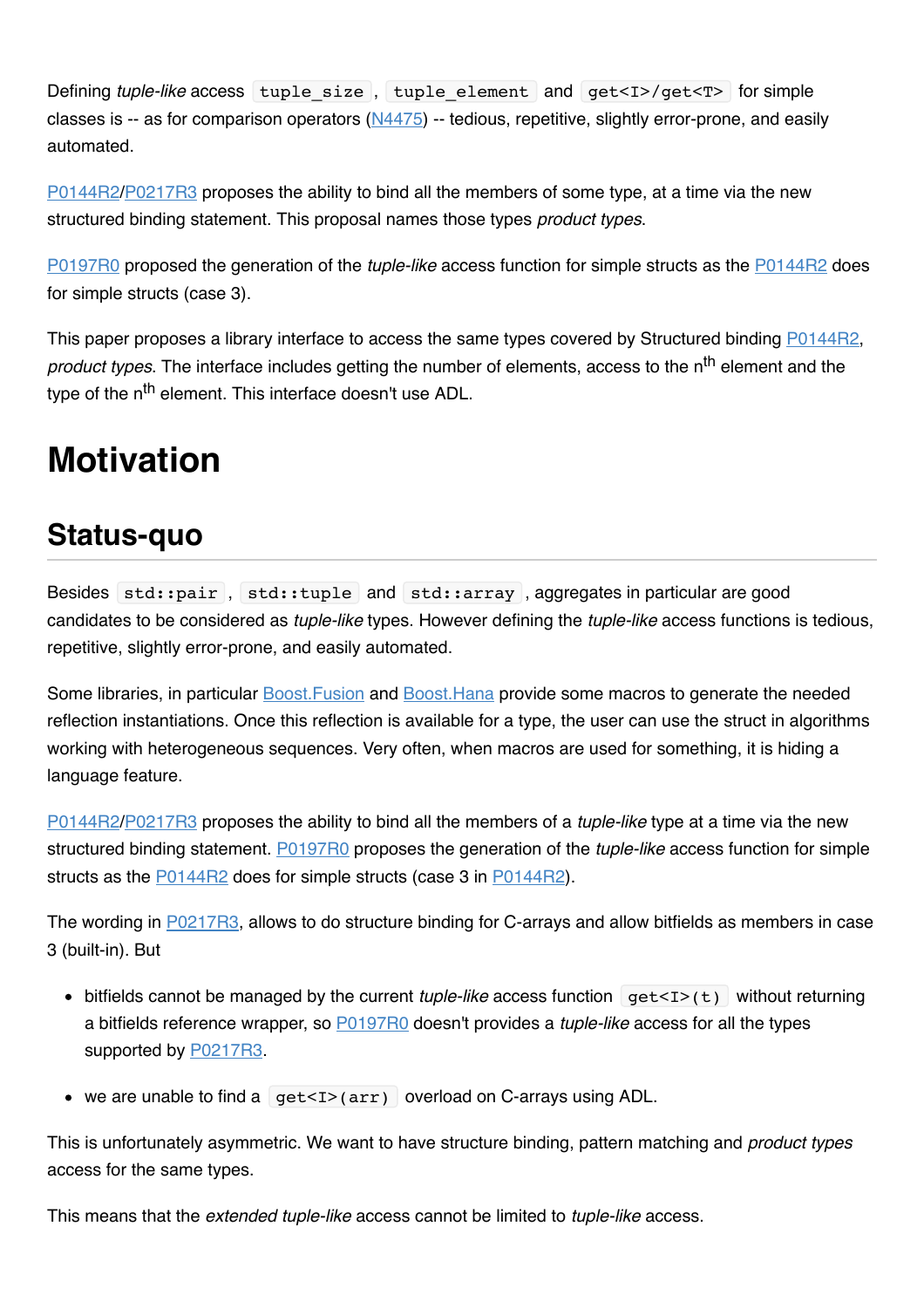Defining *tuple-like* access tuple\_size, tuple\_element and get<I>/get<T> for simple classes is  $-$  as for comparison operators ( $N4475$ )  $-$  tedious, repetitive, slightly error-prone, and easily automated.

[P0144R2/](http://www.open-std.org/jtc1/sc22/wg21/docs/papers/2016/p0144r2.pdf)[P0217R3](http://www.open-std.org/jtc1/sc22/wg21/docs/papers/2016/p0217r3.html) proposes the ability to bind all the members of some type, at a time via the new structured binding statement. This proposal names those types *product types*.

[P0197R0](http://www.open-std.org/jtc1/sc22/wg21/docs/papers/2015/p0197r0.pdf) proposed the generation of the *tuple-like* access function for simple structs as the [P0144R2](http://www.open-std.org/jtc1/sc22/wg21/docs/papers/2016/p0144r2.pdf) does for simple structs (case 3).

This paper proposes a library interface to access the same types covered by Structured binding [P0144R2](http://www.open-std.org/jtc1/sc22/wg21/docs/papers/2016/p0144r2.pdf), *product types*. The interface includes getting the number of elements, access to the n<sup>th</sup> element and the type of the n<sup>th</sup> element. This interface doesn't use ADL.

## **Motivation**

## **Status-quo**

Besides std::pair, std::tuple and std::array, aggregates in particular are good candidates to be considered as *tuple-like* types. However defining the *tuple-like* access functions is tedious, repetitive, slightly error-prone, and easily automated.

Some libraries, in particular [Boost.Fusion](http://www.boost.org/doc/libs/1_60_0/libs/fusion/doc/html/index.html) and [Boost.Hana](http://boostorg.github.io/hana/index.html) provide some macros to generate the needed reflection instantiations. Once this reflection is available for a type, the user can use the struct in algorithms working with heterogeneous sequences. Very often, when macros are used for something, it is hiding a language feature.

[P0144R2/](http://www.open-std.org/jtc1/sc22/wg21/docs/papers/2016/p0144r2.pdf)[P0217R3](http://www.open-std.org/jtc1/sc22/wg21/docs/papers/2016/p0217r3.html) proposes the ability to bind all the members of a *tuple-like* type at a time via the new structured binding statement. [P0197R0](http://www.open-std.org/jtc1/sc22/wg21/docs/papers/2015/p0197r0.pdf) proposes the generation of the *tuple-like* access function for simple structs as the [P0144R2](http://www.open-std.org/jtc1/sc22/wg21/docs/papers/2016/p0144r2.pdf) does for simple structs (case 3 in [P0144R2\)](http://www.open-std.org/jtc1/sc22/wg21/docs/papers/2016/p0144r2.pdf).

The wording in [P0217R3,](http://www.open-std.org/jtc1/sc22/wg21/docs/papers/2016/p0217r3.html) allows to do structure binding for C-arrays and allow bitfields as members in case 3 (built-in). But

- bitfields cannot be managed by the current *tuple-like* access function get<I>(t) without returning a bitfields reference wrapper, so [P0197R0](http://www.open-std.org/jtc1/sc22/wg21/docs/papers/2015/p0197r0.pdf) doesn't provides a *tuple-like* access for all the types supported by [P0217R3.](http://www.open-std.org/jtc1/sc22/wg21/docs/papers/2016/p0217r3.html)
- we are unable to find a  $get < I > (arr)$  overload on C-arrays using ADL.

This is unfortunately asymmetric. We want to have structure binding, pattern matching and *product types* access for the same types.

This means that the *extended tuple-like* access cannot be limited to *tuple-like* access.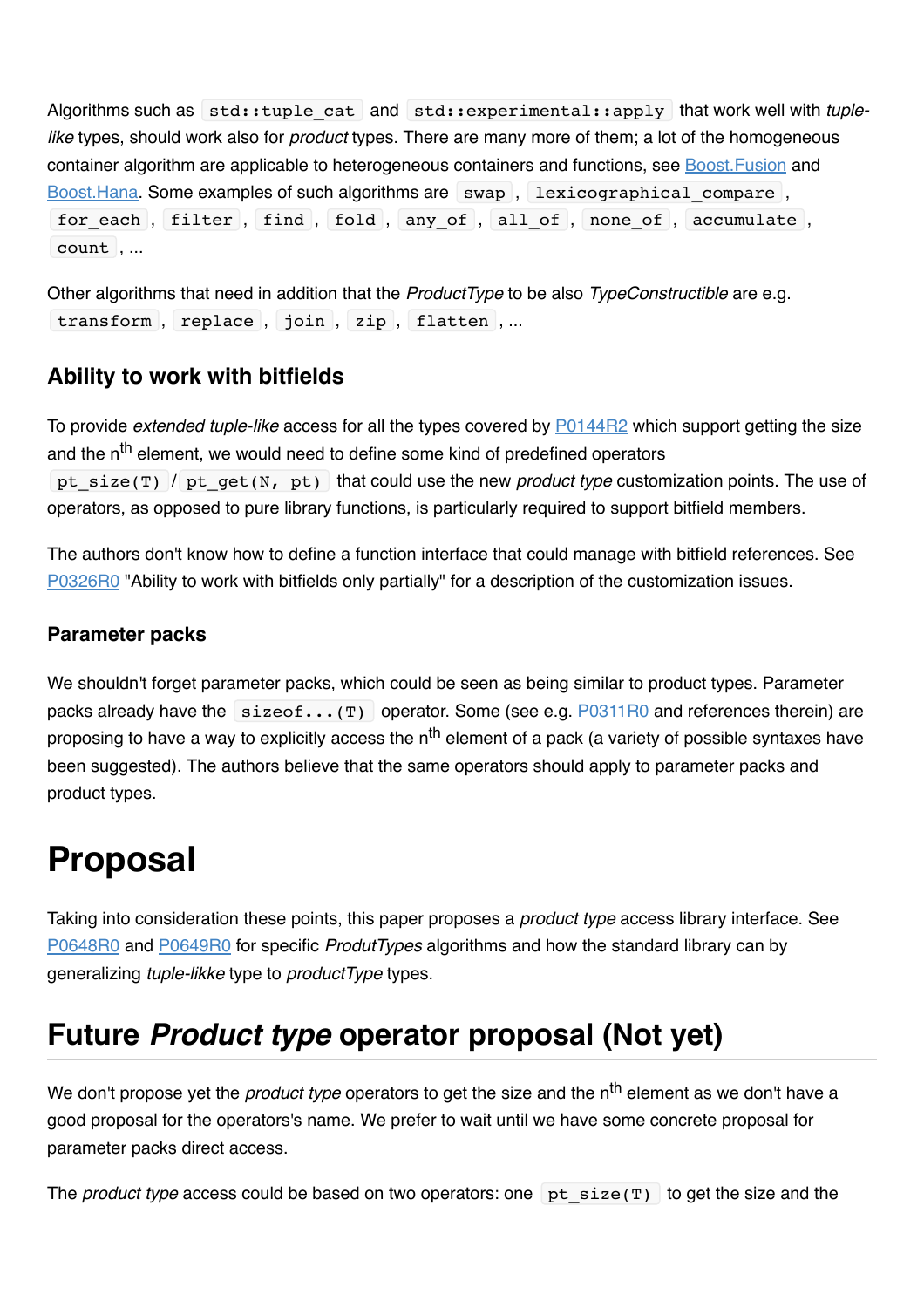Algorithms such as std::tuple cat and std::experimental::apply that work well with *tuplelike* types, should work also for *product* types. There are many more of them; a lot of the homogeneous container algorithm are applicable to heterogeneous containers and functions, see [Boost.Fusion](http://www.boost.org/doc/libs/1_60_0/libs/fusion/doc/html/index.html) and [Boost.Hana.](http://boostorg.github.io/hana/index.html) Some examples of such algorithms are  $\vert$  swap , lexicographical compare , for each, filter, find, fold, any of, all of, none of, accumulate, count , ...

Other algorithms that need in addition that the *ProductType* to be also *TypeConstructible* are e.g. transform , replace , join , zip , flatten , ...

#### **Ability to work with bitfields**

To provide *extended tuple-like* access for all the types covered by [P0144R2](http://www.open-std.org/jtc1/sc22/wg21/docs/papers/2016/p0144r2.pdf) which support getting the size and the n<sup>th</sup> element, we would need to define some kind of predefined operators pt\_size(T) / pt\_get(N, pt) that could use the new *product type* customization points. The use of operators, as opposed to pure library functions, is particularly required to support bitfield members.

The authors don't know how to define a function interface that could manage with bitfield references. See [P0326R0](http://www.open-std.org/jtc1/sc22/wg21/docs/papers/2016/p0326r0.pdf) "Ability to work with bitfields only partially" for a description of the customization issues.

#### **Parameter packs**

We shouldn't forget parameter packs, which could be seen as being similar to product types. Parameter packs already have the  $\left[ \text{sizeof} \dots \text{(T)} \right]$  operator. Some (see e.g. [P0311R0](http://www.open-std.org/jtc1/sc22/wg21/docs/papers/2016/p0311r0.html) and references therein) are proposing to have a way to explicitly access the  $n<sup>th</sup>$  element of a pack (a variety of possible syntaxes have been suggested). The authors believe that the same operators should apply to parameter packs and product types.

## **Proposal**

Taking into consideration these points, this paper proposes a *product type* access library interface. See [P0648R0](http://www.open-std.org/jtc1/sc22/wg21/docs/papers/2017/p0648r0.html) and [P0649R0](http://www.open-std.org/jtc1/sc22/wg21/docs/papers/2017/p0649r0.html) for specific *ProdutTypes* algorithms and how the standard library can by generalizing *tuple-likke* type to *productType* types.

## **Future** *Product type* **operator proposal (Not yet)**

We don't propose yet the *product type* operators to get the size and the n<sup>th</sup> element as we don't have a good proposal for the operators's name. We prefer to wait until we have some concrete proposal for parameter packs direct access.

The *product type* access could be based on two operators: one  $pt$  size(T) to get the size and the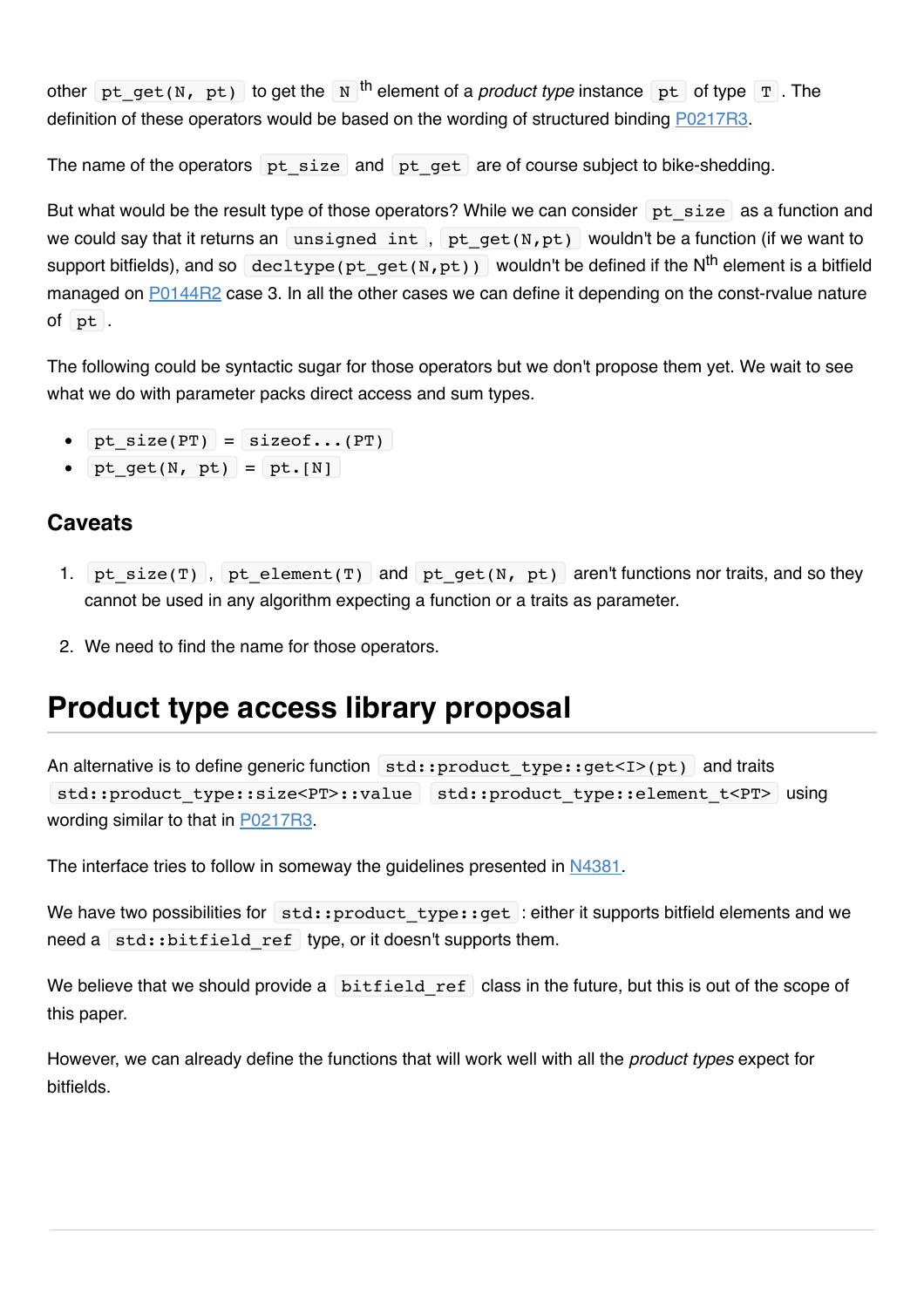other pt get(N, pt) to get the N <sup>th</sup> element of a *product type* instance pt of type  $T$ . The definition of these operators would be based on the wording of structured binding [P0217R3.](http://www.open-std.org/jtc1/sc22/wg21/docs/papers/2016/p0217r3.html)

The name of the operators pt size and pt get are of course subject to bike-shedding.

But what would be the result type of those operators? While we can consider  $pt size$  as a function and we could say that it returns an unsigned int, pt  $get(N,pt)$  wouldn't be a function (if we want to support bitfields), and so decltype (pt get(N,pt)) wouldn't be defined if the N<sup>th</sup> element is a bitfield managed on **P0144R2** case 3. In all the other cases we can define it depending on the const-rvalue nature of pt .

The following could be syntactic sugar for those operators but we don't propose them yet. We wait to see what we do with parameter packs direct access and sum types.

- $\bullet$  pt\_size(PT) = sizeof...(PT)
- pt  $qet(N, pt) = pt.[N]$

#### **Caveats**

- 1. pt\_size(T) , pt\_element(T) and pt\_get(N, pt) aren't functions nor traits, and so they cannot be used in any algorithm expecting a function or a traits as parameter.
- 2. We need to find the name for those operators.

### **Product type access library proposal**

An alternative is to define generic function  $|\text{std::product type::get*(pt)|}*$  and traits std::product type::size<PT>::value std::product type::element t<PT> using wording similar to that in [P0217R3.](http://www.open-std.org/jtc1/sc22/wg21/docs/papers/2016/p0217r3.html)

The interface tries to follow in someway the guidelines presented in [N4381.](http://www.open-std.org/jtc1/sc22/wg21/docs/papers/2015/n4381.html)

We have two possibilities for  $|$  std::product type::get : either it supports bitfield elements and we need a std::bitfield ref type, or it doesn't supports them.

We believe that we should provide a  $b$ itfield ref class in the future, but this is out of the scope of this paper.

However, we can already define the functions that will work well with all the *product types* expect for bitfields.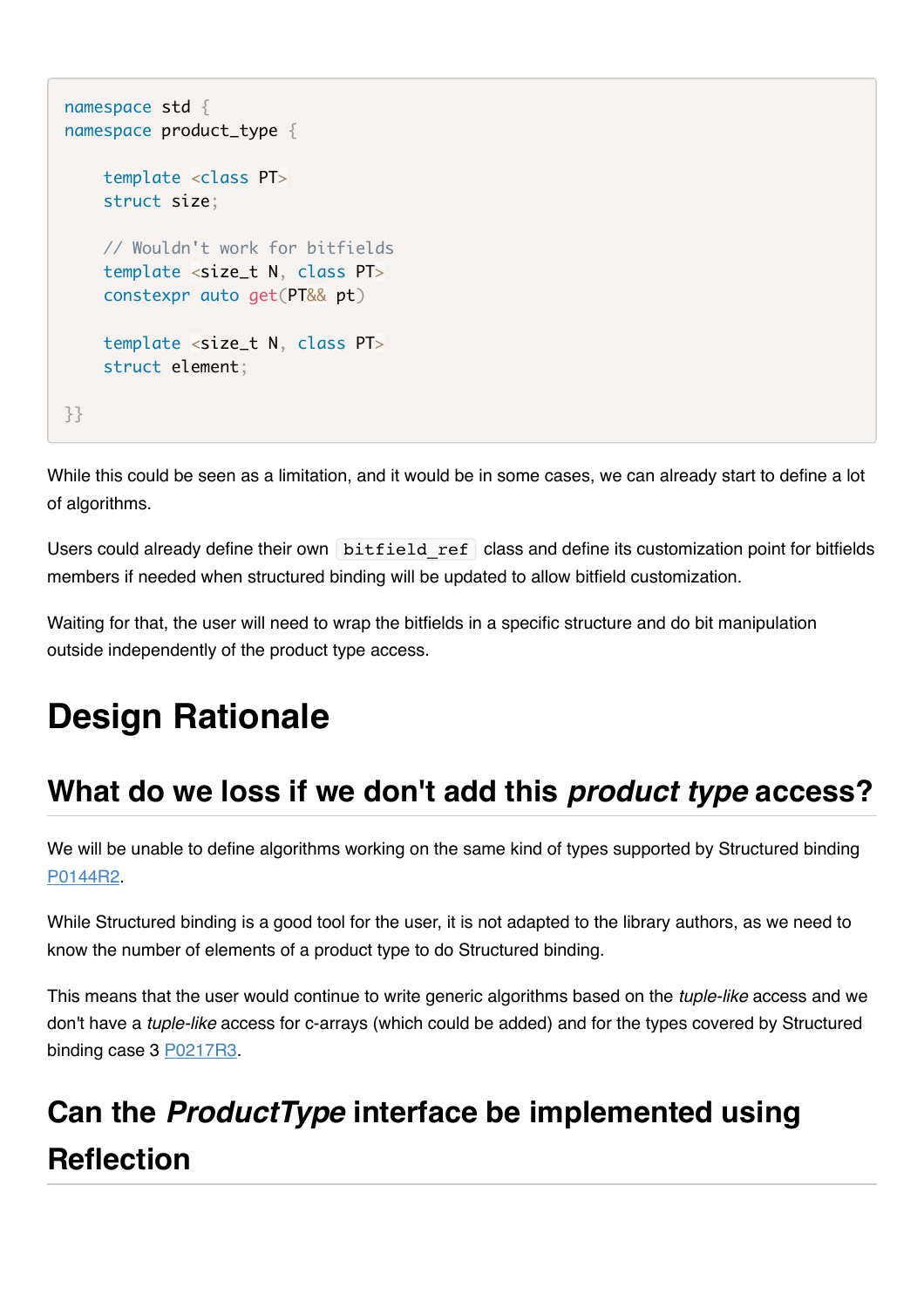```
namespace std {
namespace product_type {
     template <class PT>
     struct size;
     // Wouldn't work for bitfields
     template <size_t N, class PT>
     constexpr auto get(PT&& pt)
     template <size_t N, class PT>
     struct element;
}}
```
While this could be seen as a limitation, and it would be in some cases, we can already start to define a lot of algorithms.

Users could already define their own bitfield ref class and define its customization point for bitfields members if needed when structured binding will be updated to allow bitfield customization.

Waiting for that, the user will need to wrap the bitfields in a specific structure and do bit manipulation outside independently of the product type access.

# **Design Rationale**

## **What do we loss if we don't add this** *product type* **access?**

We will be unable to define algorithms working on the same kind of types supported by Structured binding [P0144R2.](http://www.open-std.org/jtc1/sc22/wg21/docs/papers/2016/p0217r3.html)

While Structured binding is a good tool for the user, it is not adapted to the library authors, as we need to know the number of elements of a product type to do Structured binding.

This means that the user would continue to write generic algorithms based on the *tuple-like* access and we don't have a *tuple-like* access for c-arrays (which could be added) and for the types covered by Structured binding case 3 [P0217R3.](file:///Users/viboes/github/std_make/doc/proposal/product_type/which%20could%20be%20added%20only%20with%20compiler%20help,%20as%20this%20paper%20proposes)

# **Can the** *ProductType* **interface be implemented using Reflection**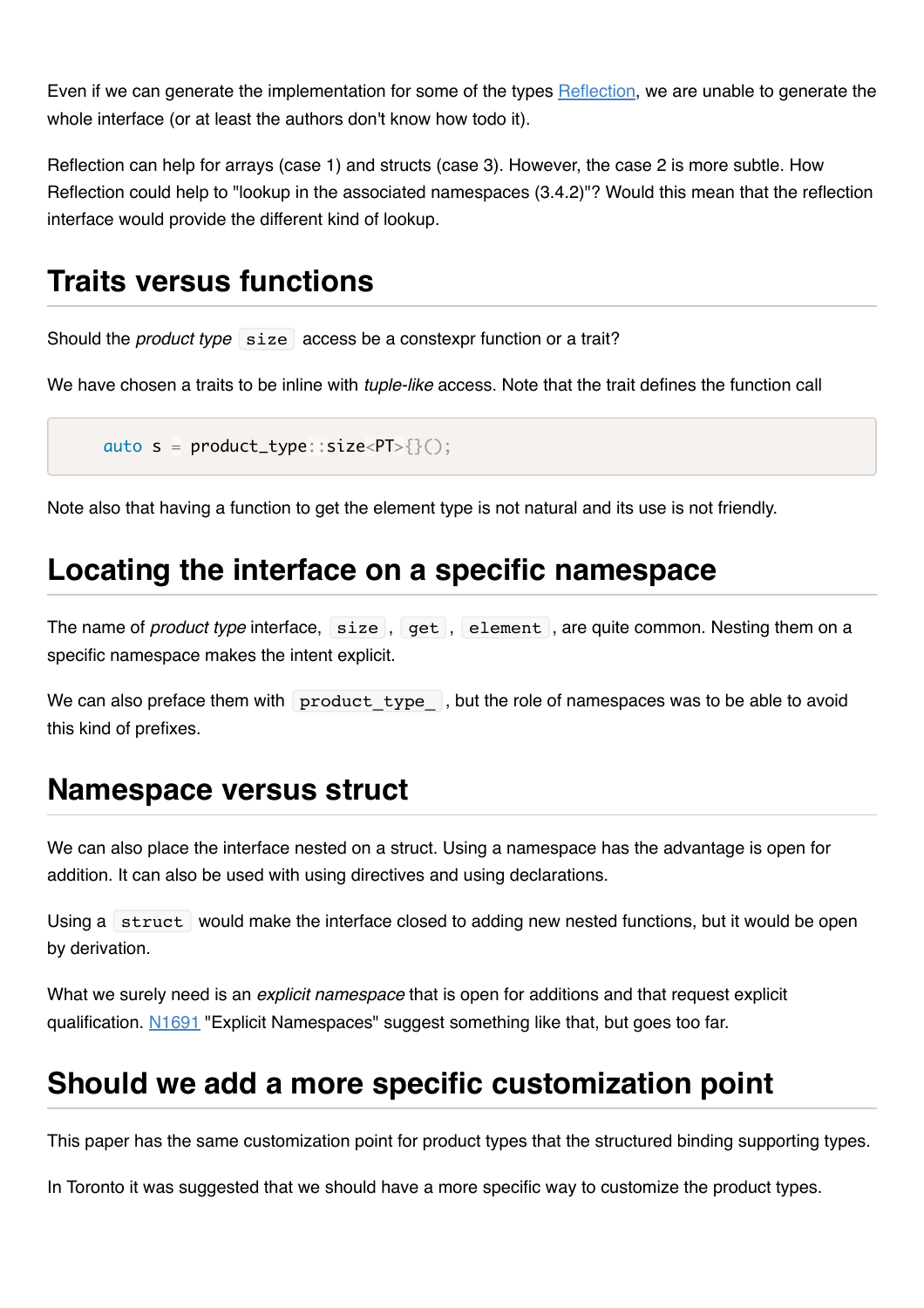Even if we can generate the implementation for some of the types [Reflection,](https://gist.github.com/jacquelinekay/6bcacee7a3bce7d82b9d6387b6afee96) we are unable to generate the whole interface (or at least the authors don't know how todo it).

Reflection can help for arrays (case 1) and structs (case 3). However, the case 2 is more subtle. How Reflection could help to "lookup in the associated namespaces (3.4.2)"? Would this mean that the reflection interface would provide the different kind of lookup.

### **Traits versus functions**

Should the *product type* size access be a constexpr function or a trait?

We have chosen a traits to be inline with *tuple-like* access. Note that the trait defines the function call

auto  $s = product_type::size < PT>>$ {}();

Note also that having a function to get the element type is not natural and its use is not friendly.

#### **Locating the interface on a specific namespace**

The name of *product type* interface, size, get, element, are quite common. Nesting them on a specific namespace makes the intent explicit.

We can also preface them with  $\alpha$  product type  $\alpha$ , but the role of namespaces was to be able to avoid this kind of prefixes.

#### **Namespace versus struct**

We can also place the interface nested on a struct. Using a namespace has the advantage is open for addition. It can also be used with using directives and using declarations.

Using a struct would make the interface closed to adding new nested functions, but it would be open by derivation.

What we surely need is an *explicit namespace* that is open for additions and that request explicit qualification. [N1691](http://www.open-std.org/jtc1/sc22/wg21/docs/papers/2004/n1691.html) "Explicit Namespaces" suggest something like that, but goes too far.

## **Should we add a more specific customization point**

This paper has the same customization point for product types that the structured binding supporting types.

In Toronto it was suggested that we should have a more specific way to customize the product types.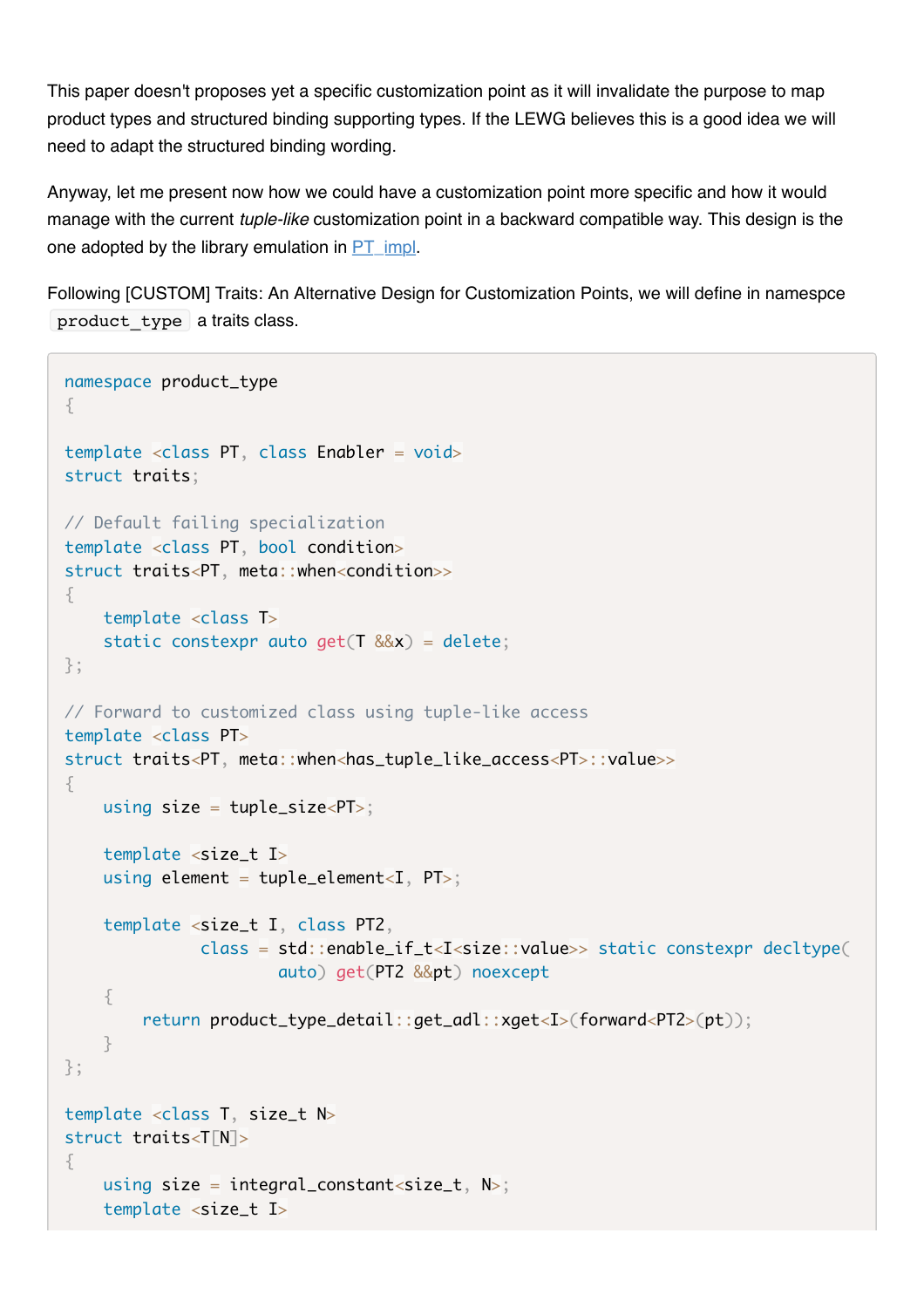This paper doesn't proposes yet a specific customization point as it will invalidate the purpose to map product types and structured binding supporting types. If the LEWG believes this is a good idea we will need to adapt the structured binding wording.

Anyway, let me present now how we could have a customization point more specific and how it would manage with the current *tuple-like* customization point in a backward compatible way. This design is the one adopted by the library emulation in PT impl.

Following [CUSTOM] Traits: An Alternative Design for Customization Points, we will define in namespce product type a traits class.

```
namespace product_type
\{template <class PT, class Enabler = void>
struct traits;
// Default failing specialization
template <class PT, bool condition>
struct traits<PT, meta::when<condition>>
{
    template \langleclass T\ranglestatic constexpr auto get(T \&x) = delete;};
// Forward to customized class using tuple-like access
template <class PT>
struct traits<PT, meta::when<has_tuple_like_access<PT>::value>>
{
    using size = tuple\_size < PT>;
    template \langlesize t I>
    using element = tuple_element < I, PT >;
     template <size_t I, class PT2,
               class = std::enable_i f_t &lt; I &lt; size::value &gt;&gt; static context of <math>def = self_i f_t &lt; I</math> auto) get(PT2 &&pt) noexcept
     {
          return product_type_detail::get_adl::xget<I>(forward<PT2>(pt));
     }
};
template <class T, size_t N>
struct traits<T[N]>
{
    using size = integral_constant<size_t, N>;
     template <size_t I>
```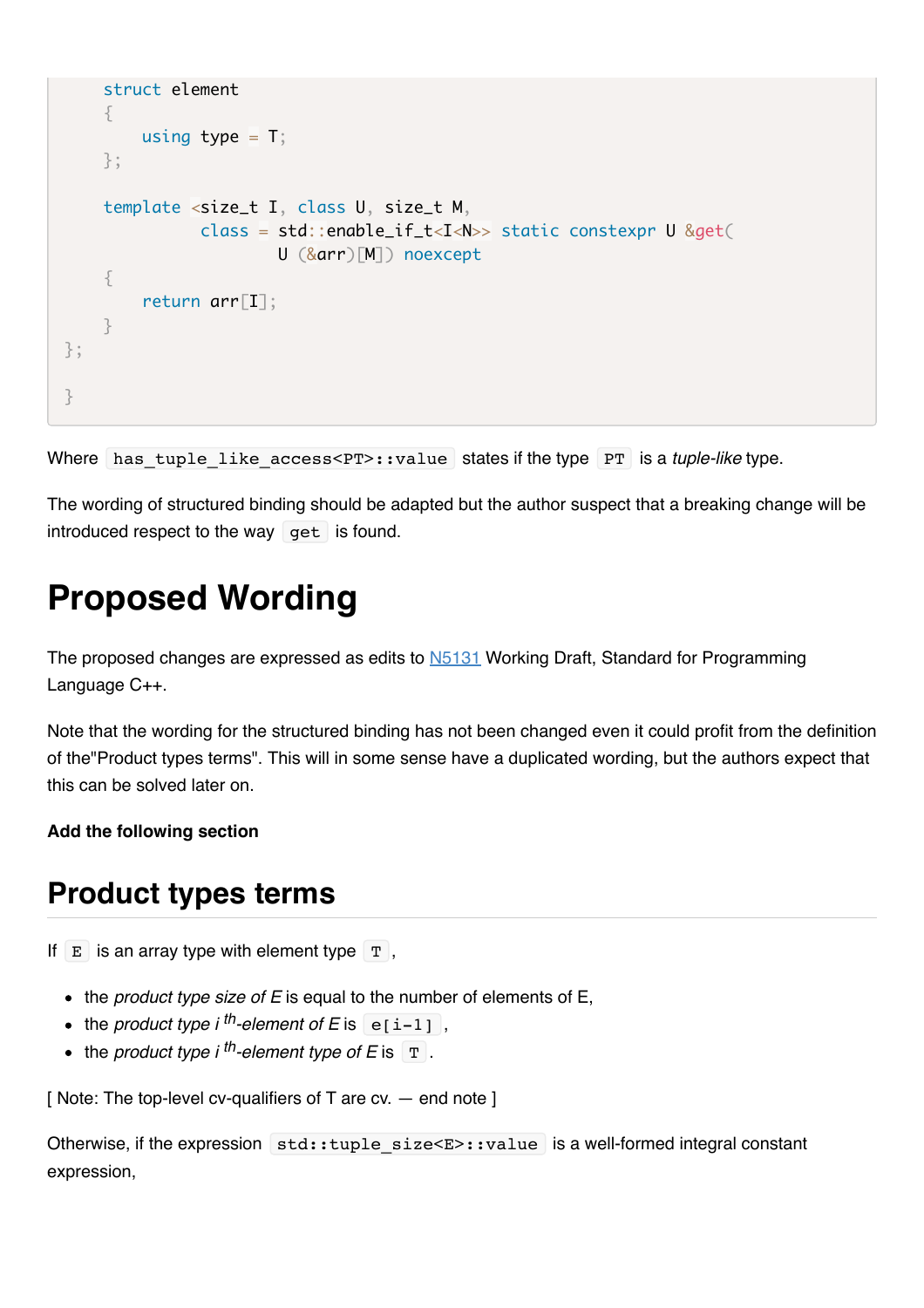```
 struct element
     {
         using type = T;
     };
     template <size_t I, class U, size_t M,
               class = std:: enable if t < I < N >> static constexpr U &get(
                          U (&arr)[M]) noexcept
     {
          return arr[I];
     }
};
}
```
Where has tuple like access<PT>::value states if the type PT is a *tuple-like* type.

The wording of structured binding should be adapted but the author suspect that a breaking change will be introduced respect to the way  $get$  is found.

## **Proposed Wording**

The proposed changes are expressed as edits to **N5131** Working Draft, Standard for Programming Language C++.

Note that the wording for the structured binding has not been changed even it could profit from the definition of the"Product types terms". This will in some sense have a duplicated wording, but the authors expect that this can be solved later on.

#### **Add the following section**

### **Product types terms**

If  $E$  is an array type with element type  $T$ ,

- the *product type size of E* is equal to the number of elements of E.
- $\bullet$  the *product type i*<sup>th</sup>-element of E is  $\boxed{e[i-1]}$ ,
- $\bullet$  the *product type i*<sup>th</sup>-element type of E is  $\boxed{\text{T}}$ .

[ Note: The top-level cv-qualifiers of T are cv. - end note ]

Otherwise, if the expression std::tuple size<E>::value is a well-formed integral constant expression,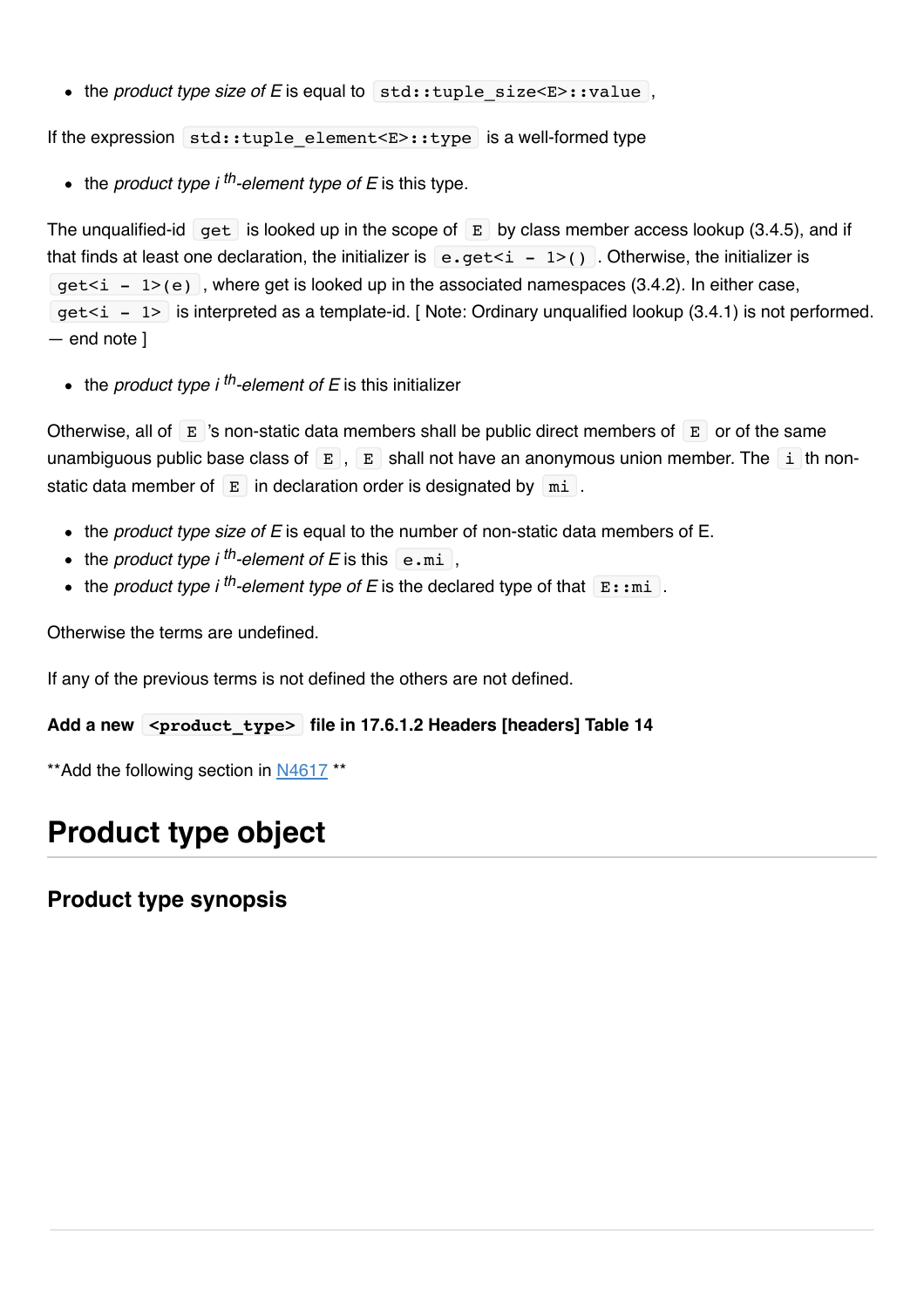• the *product type size of E* is equal to std::tuple size<E>::value,

If the expression std::tuple\_element< $E>$ ::type is a well-formed type

• the *product type i* <sup>th</sup>-element type of E is this type.

The unqualified-id get is looked up in the scope of  $E$  by class member access lookup (3.4.5), and if that finds at least one declaration, the initializer is  $\begin{bmatrix} e \cdot \text{get} < i < -1 \end{bmatrix}$ . Otherwise, the initializer is  $qet\leq i - 1$  (e), where get is looked up in the associated namespaces (3.4.2). In either case,  $qet\langle i \rangle = 1$  is interpreted as a template-id. [Note: Ordinary unqualified lookup (3.4.1) is not performed. — end note ]

 $\bullet$  the *product type i* <sup>th</sup>-element of E is this initializer

Otherwise, all of  $E$  's non-static data members shall be public direct members of  $E$  or of the same unambiguous public base class of  $E$ ,  $E$  shall not have an anonymous union member. The i th nonstatic data member of  $E$  in declaration order is designated by  $m$  .

- the *product type size of E* is equal to the number of non-static data members of E.
- $\bullet$  the *product type i*<sup>th</sup>-element of E is this  $\epsilon$ .mi,
- the *product type i* <sup>th</sup>-element type of E is the declared type of that  $\mathbb{E}$ :  $\text{mi}$ .

Otherwise the terms are undefined.

If any of the previous terms is not defined the others are not defined.

#### **Add a new <product\_type> file in 17.6.1.2 Headers [headers] Table 14**

\*\*Add the following section in [N4617](http://www.open-std.org/jtc1/sc22/wg21/docs/papers/2016/n4617.pdf) \*\*

## **Product type object**

#### **Product type synopsis**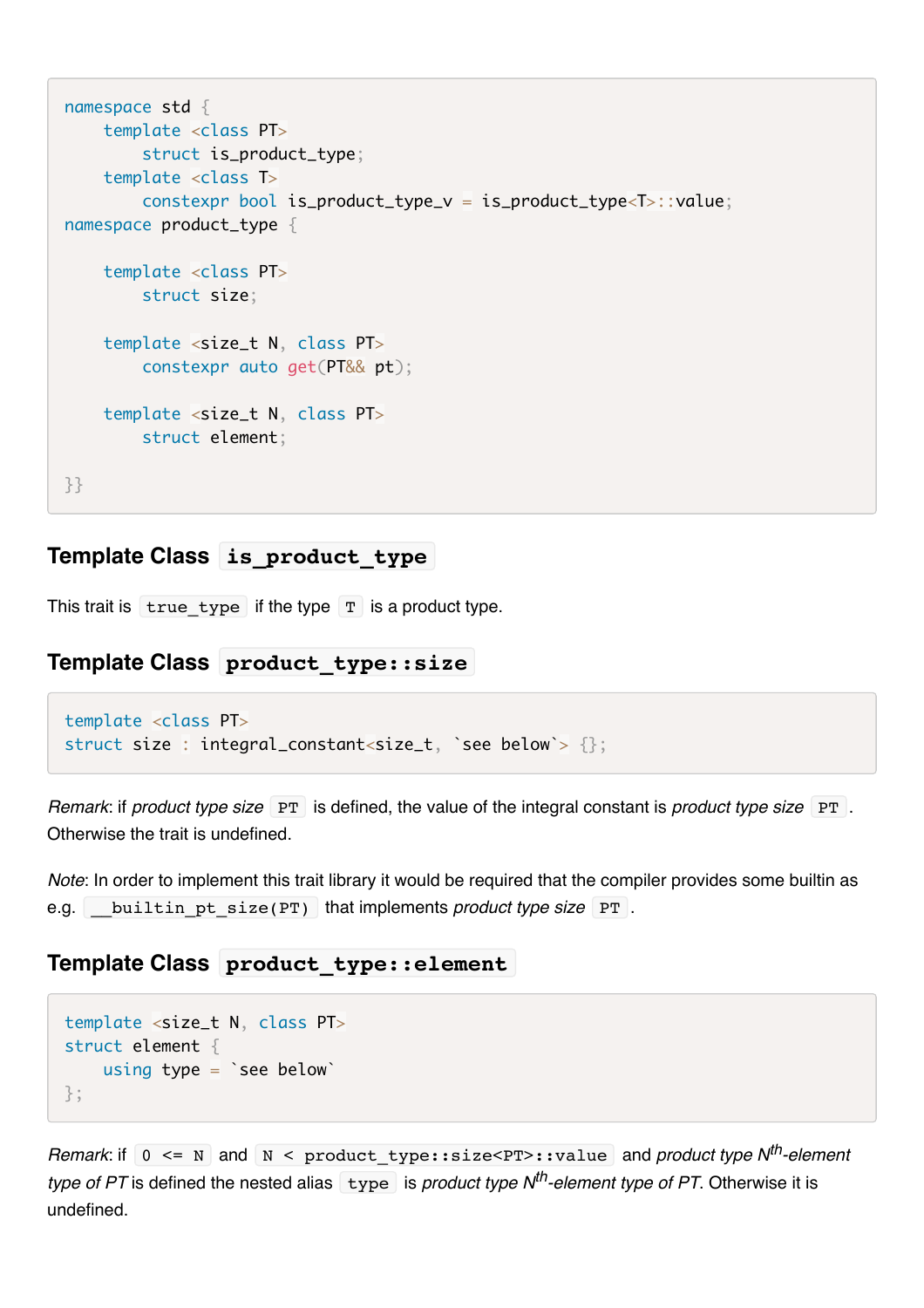```
namespace std {
     template <class PT>
         struct is_product_type;
     template <class T>
         constexpr bool is_product_type_v = is_product_type<T>::value;
namespace product_type {
     template <class PT>
         struct size;
     template <size_t N, class PT>
         constexpr auto get(PT&& pt);
     template <size_t N, class PT>
         struct element;
}}
```
#### **Template Class is\_product\_type**

This trait is  $\pm \text{true}$  type if the type  $\pm \text{true}$  is a product type.

#### **Template Class product\_type::size**

```
template <class PT>
struct size: integral_constant<size_t, `see below`> {};
```
*Remark: if product type size* PT is defined, the value of the integral constant is *product type size* PT . Otherwise the trait is undefined.

*Note*: In order to implement this trait library it would be required that the compiler provides some builtin as e.g. builtin pt size(PT) that implements *product type size* PT.

#### **Template Class product\_type::element**

```
template <size_t N, class PT>
struct element {
    using type = `see below`
};
```
*Remark*: if  $\vert 0 \vert \le N$  and  $\vert N \vert \le P$  product type::size \calue and *product type N<sup>th</sup>-element type of PT* is defined the nested alias  $\overline{t}$  type is *product type N<sup>th</sup>-element type of PT*. Otherwise it is undefined.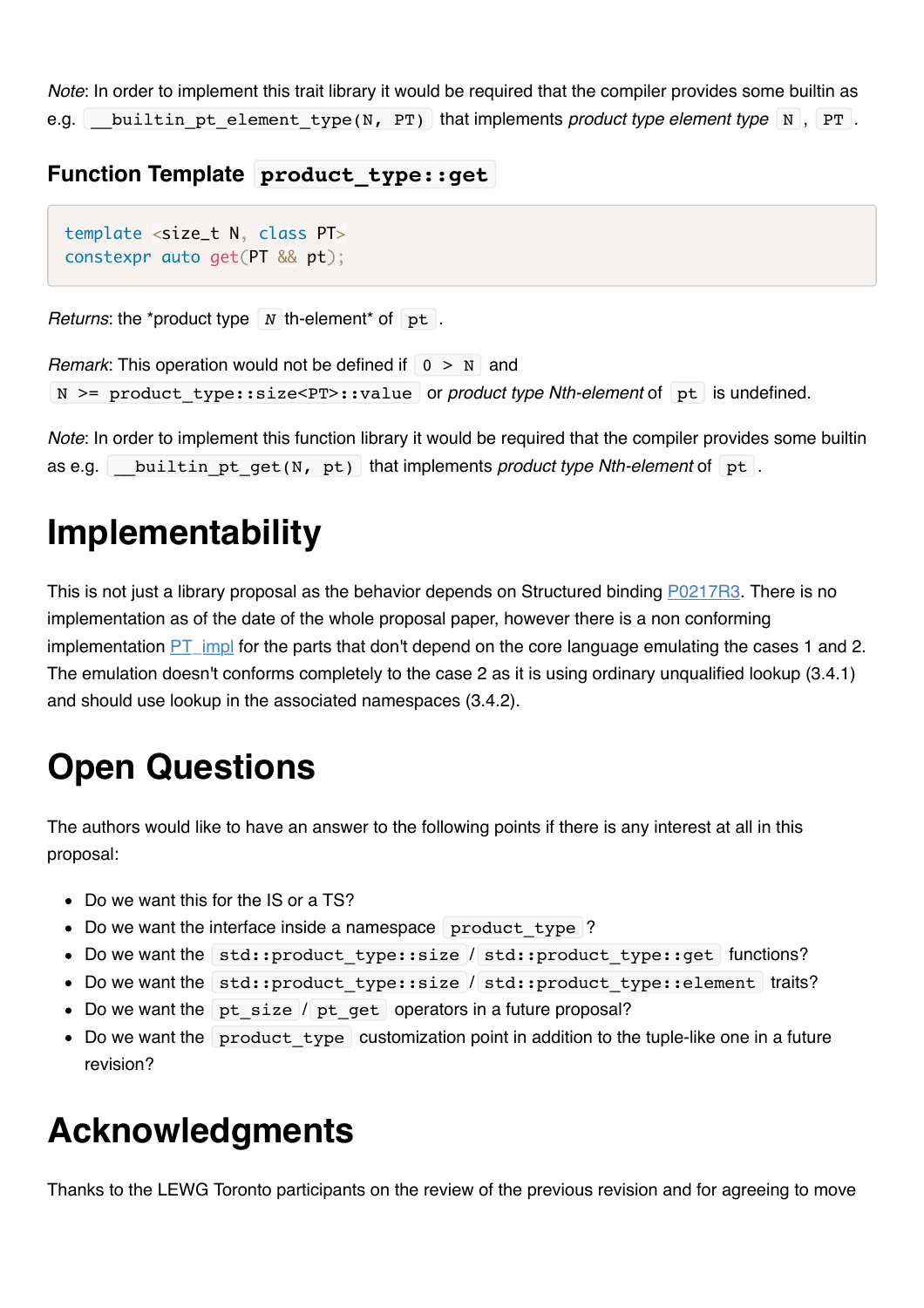*Note*: In order to implement this trait library it would be required that the compiler provides some builtin as e.g. builtin pt element type(N, PT) that implements *product type element type* N, PT.

#### **Function Template product\_type::get**

```
template <size_t N, class PT>
constexpr auto get(PT && pt);
```
*Returns*: the \*product type  $N$  th-element\* of pt.

```
Remark: This operation would not be defined if \vert 0 \rangle N and
 N >= product_type::size<PT>::value or product type Nth-element of pt is undefined.
```
*Note*: In order to implement this function library it would be required that the compiler provides some builtin as e.g. builtin pt get(N, pt) that implements *product type Nth-element* of pt.

## **Implementability**

This is not just a library proposal as the behavior depends on Structured binding [P0217R3.](http://www.open-std.org/jtc1/sc22/wg21/docs/papers/2016/p0217r3.html) There is no implementation as of the date of the whole proposal paper, however there is a non conforming implementation  $PT$  impl for the parts that don't depend on the core language emulating the cases 1 and 2. The emulation doesn't conforms completely to the case 2 as it is using ordinary unqualified lookup (3.4.1) and should use lookup in the associated namespaces (3.4.2).

# **Open Questions**

The authors would like to have an answer to the following points if there is any interest at all in this proposal:

- Do we want this for the IS or a TS?
- Do we want the interface inside a namespace product type ?
- Do we want the std::product type::size / std::product type::get functions?
- Do we want the std::product type::size / std::product type::element traits?
- Do we want the pt size / pt get operators in a future proposal?
- Do we want the product type customization point in addition to the tuple-like one in a future revision?

## **Acknowledgments**

Thanks to the LEWG Toronto participants on the review of the previous revision and for agreeing to move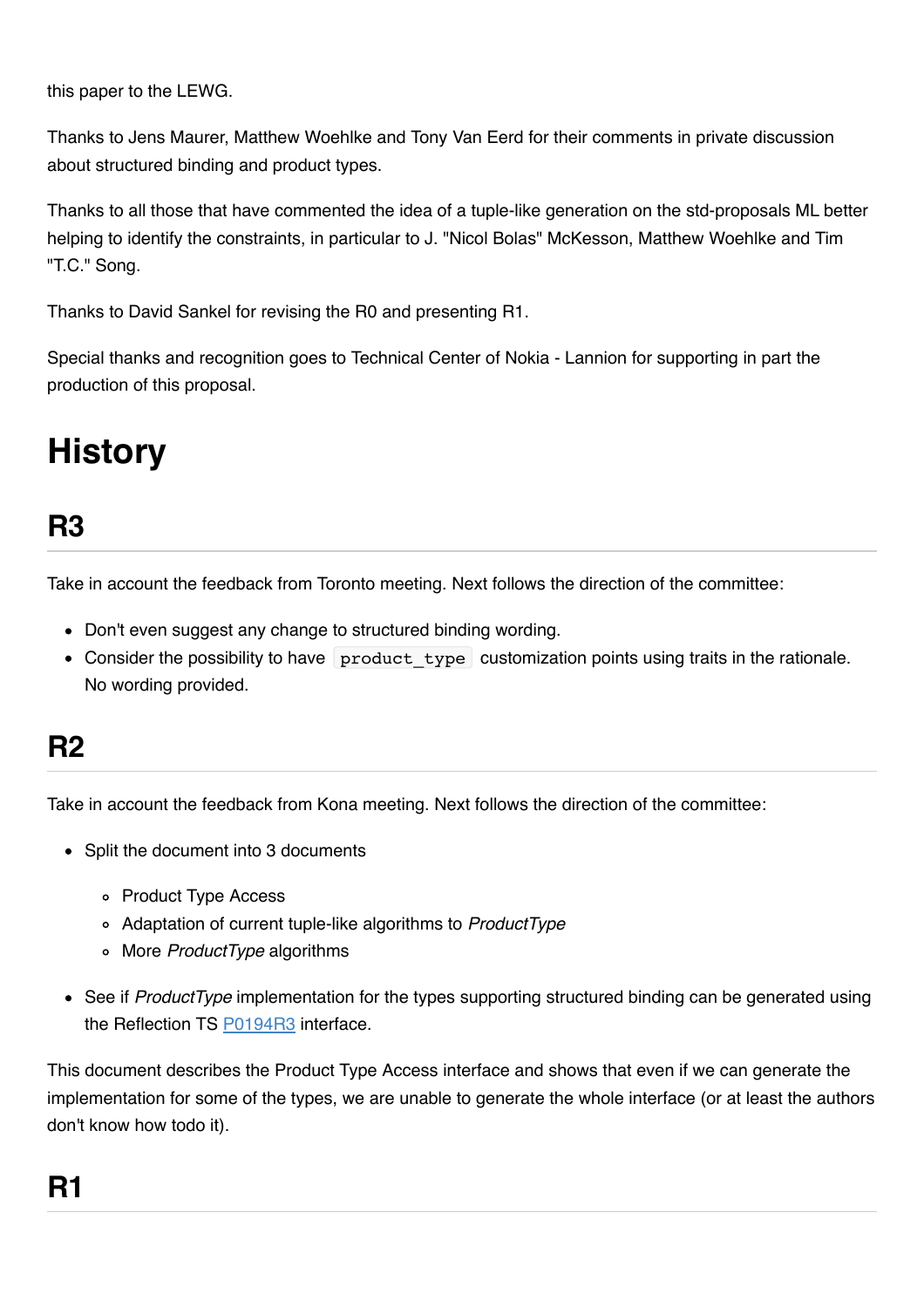this paper to the LEWG.

Thanks to Jens Maurer, Matthew Woehlke and Tony Van Eerd for their comments in private discussion about structured binding and product types.

Thanks to all those that have commented the idea of a tuple-like generation on the std-proposals ML better helping to identify the constraints, in particular to J. "Nicol Bolas" McKesson, Matthew Woehlke and Tim "T.C." Song.

Thanks to David Sankel for revising the R0 and presenting R1.

Special thanks and recognition goes to Technical Center of Nokia - Lannion for supporting in part the production of this proposal.

## **History**

## **R3**

Take in account the feedback from Toronto meeting. Next follows the direction of the committee:

- Don't even suggest any change to structured binding wording.
- Consider the possibility to have product type customization points using traits in the rationale. No wording provided.

### **R2**

Take in account the feedback from Kona meeting. Next follows the direction of the committee:

- Split the document into 3 documents
	- Product Type Access
	- Adaptation of current tuple-like algorithms to *ProductType*
	- More *ProductType* algorithms
- See if *ProductType* implementation for the types supporting structured binding can be generated using the Reflection TS [P0194R3](http://www.open-std.org/jtc1/sc22/wg21/docs/papers/2017/p0194r3.html) interface.

This document describes the Product Type Access interface and shows that even if we can generate the implementation for some of the types, we are unable to generate the whole interface (or at least the authors don't know how todo it).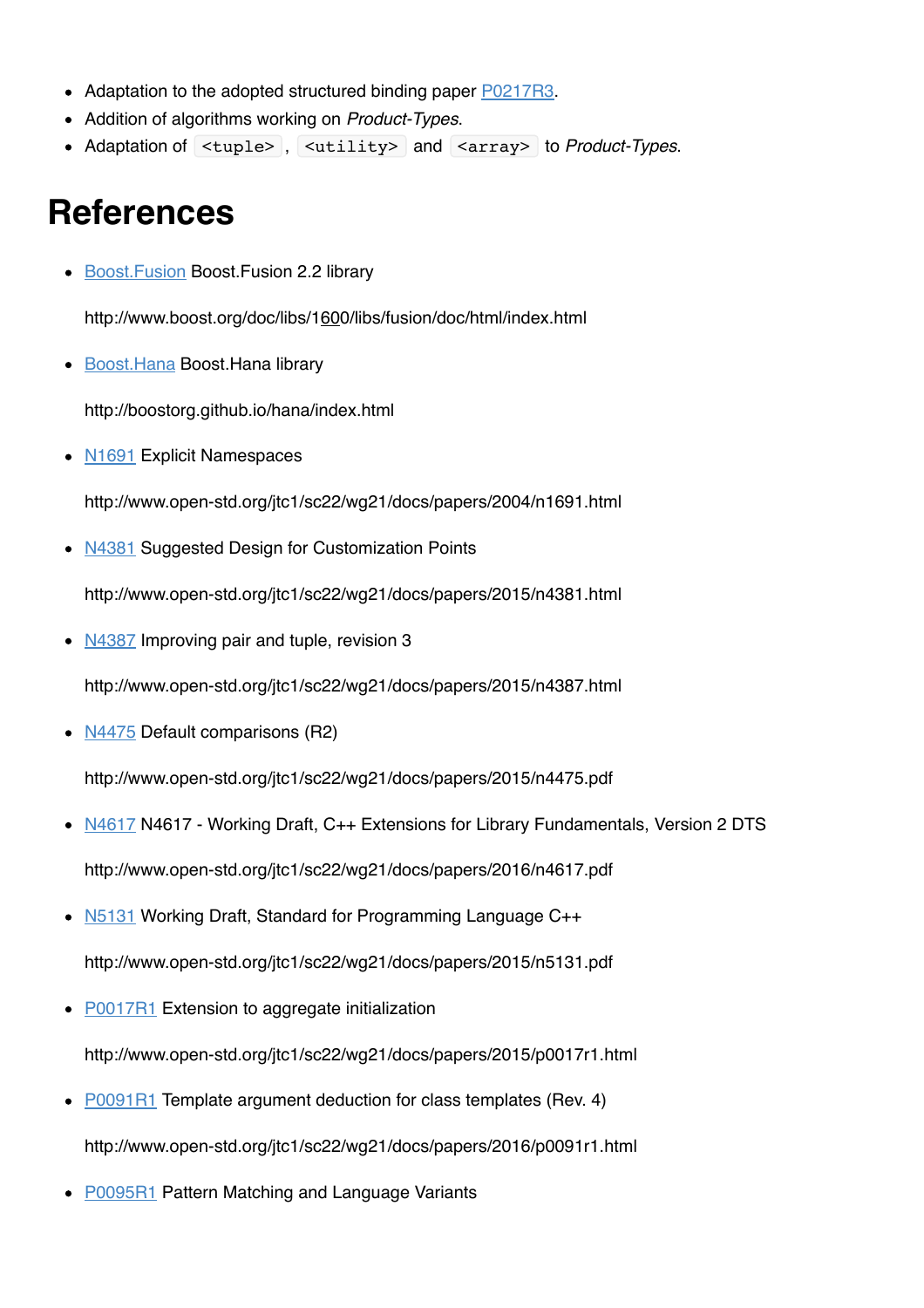- Adaptation to the adopted structured binding paper [P0217R3.](http://www.open-std.org/jtc1/sc22/wg21/docs/papers/2016/p0217r3.html)
- Addition of algorithms working on *Product-Types*.
- Adaptation of <tuple> , <utility> and <array> to *Product-Types*.

## **References**

**[Boost.Fusion](http://www.boost.org/doc/libs/1_60_0/libs/fusion/doc/html/index.html) Boost.Fusion 2.2 library** 

http://www.boost.org/doc/libs/1600/libs/fusion/doc/html/index.html

• [Boost.Hana](http://boostorg.github.io/hana/index.html) Boost.Hana library

http://boostorg.github.io/hana/index.html

• [N1691](http://www.open-std.org/jtc1/sc22/wg21/docs/papers/2004/n1691.html) Explicit Namespaces

http://www.open-std.org/jtc1/sc22/wg21/docs/papers/2004/n1691.html

• [N4381](http://www.open-std.org/jtc1/sc22/wg21/docs/papers/2015/n4381.html) Suggested Design for Customization Points

http://www.open-std.org/jtc1/sc22/wg21/docs/papers/2015/n4381.html

• [N4387](http://www.open-std.org/jtc1/sc22/wg21/docs/papers/2015/n4387.html) Improving pair and tuple, revision 3

http://www.open-std.org/jtc1/sc22/wg21/docs/papers/2015/n4387.html

•  $N4475$  Default comparisons (R2)

http://www.open-std.org/jtc1/sc22/wg21/docs/papers/2015/n4475.pdf

- [N4617](http://www.open-std.org/jtc1/sc22/wg21/docs/papers/2016/n4617.pdf) N4617 Working Draft, C++ Extensions for Library Fundamentals, Version 2 DTS http://www.open-std.org/jtc1/sc22/wg21/docs/papers/2016/n4617.pdf
- [N5131](http://www.open-std.org/jtc1/sc22/wg21/docs/papers/2015/n5131.pdf) Working Draft, Standard for Programming Language C++ http://www.open-std.org/jtc1/sc22/wg21/docs/papers/2015/n5131.pdf
- [P0017R1](http://www.open-std.org/jtc1/sc22/wg21/docs/papers/2015/p0017r1.html) Extension to aggregate initialization http://www.open-std.org/jtc1/sc22/wg21/docs/papers/2015/p0017r1.html
- [P0091R1](http://www.open-std.org/jtc1/sc22/wg21/docs/papers/2016/p0091r1.html) Template argument deduction for class templates (Rev. 4) http://www.open-std.org/jtc1/sc22/wg21/docs/papers/2016/p0091r1.html
- **P0095R1** Pattern Matching and Language Variants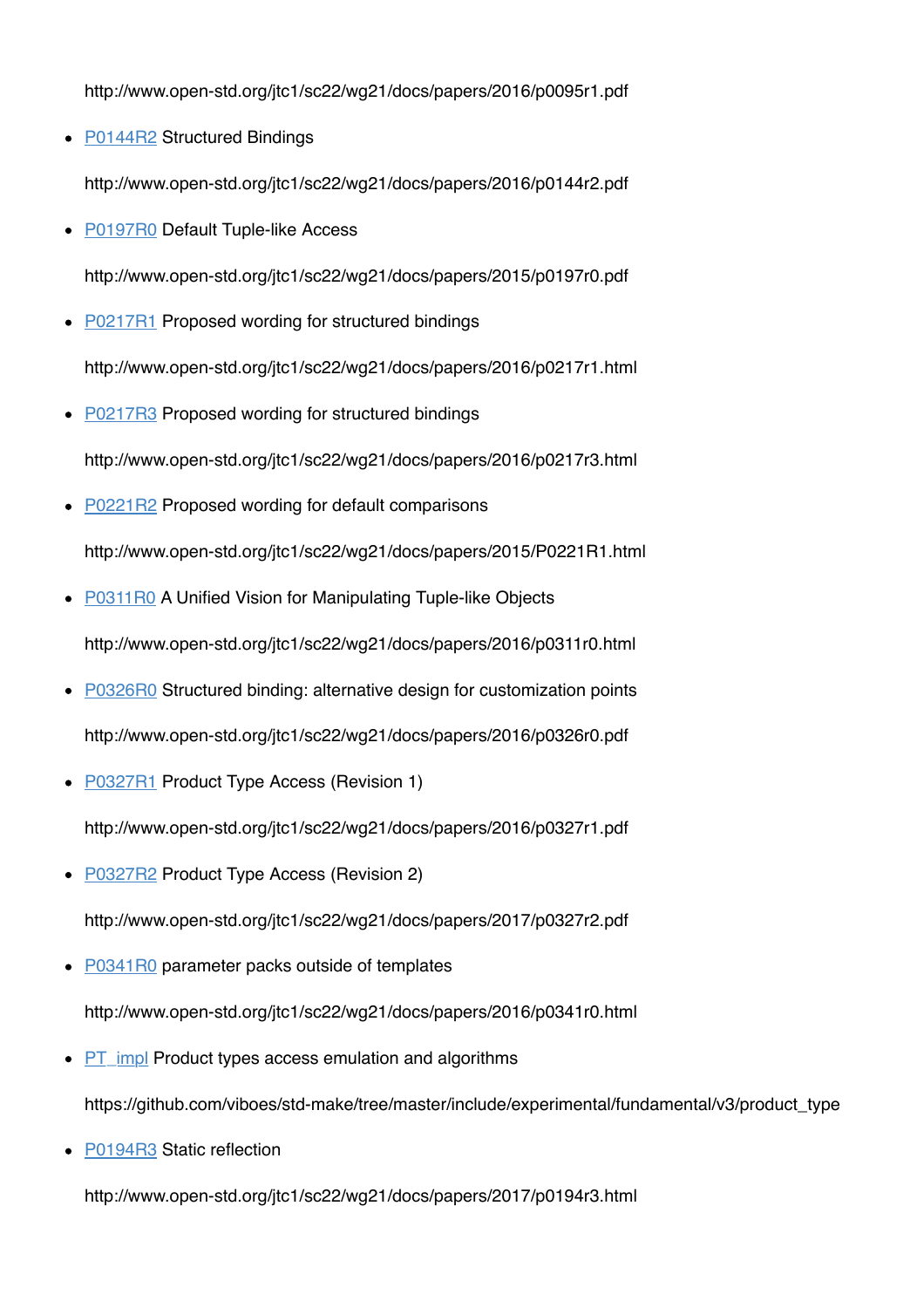http://www.open-std.org/jtc1/sc22/wg21/docs/papers/2016/p0095r1.pdf

• [P0144R2](http://www.open-std.org/jtc1/sc22/wg21/docs/papers/2016/p0144r2.pdf) Structured Bindings

http://www.open-std.org/jtc1/sc22/wg21/docs/papers/2016/p0144r2.pdf

• [P0197R0](http://www.open-std.org/jtc1/sc22/wg21/docs/papers/2015/p0197r0.pdf) Default Tuple-like Access

http://www.open-std.org/jtc1/sc22/wg21/docs/papers/2015/p0197r0.pdf

- [P0217R1](http://www.open-std.org/jtc1/sc22/wg21/docs/papers/2016/p0217r1.html) Proposed wording for structured bindings http://www.open-std.org/jtc1/sc22/wg21/docs/papers/2016/p0217r1.html
- **P0217R3** Proposed wording for structured bindings http://www.open-std.org/jtc1/sc22/wg21/docs/papers/2016/p0217r3.html
- [P0221R2](http://www.open-std.org/jtc1/sc22/wg21/docs/papers/2015/p0221r2.html) Proposed wording for default comparisons http://www.open-std.org/jtc1/sc22/wg21/docs/papers/2015/P0221R1.html
- [P0311R0](http://www.open-std.org/jtc1/sc22/wg21/docs/papers/2016/p0311r0.html) A Unified Vision for Manipulating Tuple-like Objects http://www.open-std.org/jtc1/sc22/wg21/docs/papers/2016/p0311r0.html
- [P0326R0](http://www.open-std.org/jtc1/sc22/wg21/docs/papers/2016/p0326r0.pdf) Structured binding: alternative design for customization points http://www.open-std.org/jtc1/sc22/wg21/docs/papers/2016/p0326r0.pdf
- **P0327R1** Product Type Access (Revision 1)

http://www.open-std.org/jtc1/sc22/wg21/docs/papers/2016/p0327r1.pdf

- [P0327R2](http://www.open-std.org/jtc1/sc22/wg21/docs/papers/2017/p0327r2.pdf) Product Type Access (Revision 2) http://www.open-std.org/jtc1/sc22/wg21/docs/papers/2017/p0327r2.pdf
- [P0341R0](http://www.open-std.org/jtc1/sc22/wg21/docs/papers/2016/p0341r0.html) parameter packs outside of templates http://www.open-std.org/jtc1/sc22/wg21/docs/papers/2016/p0341r0.html
- **[PT\\_impl](https://github.com/viboes/std-make/tree/master/include/experimental/fundamental/v3/product_type) Product types access emulation and algorithms** https://github.com/viboes/std-make/tree/master/include/experimental/fundamental/v3/product\_type
- [P0194R3](http://www.open-std.org/jtc1/sc22/wg21/docs/papers/2017/p0194r3.html) Static reflection

http://www.open-std.org/jtc1/sc22/wg21/docs/papers/2017/p0194r3.html